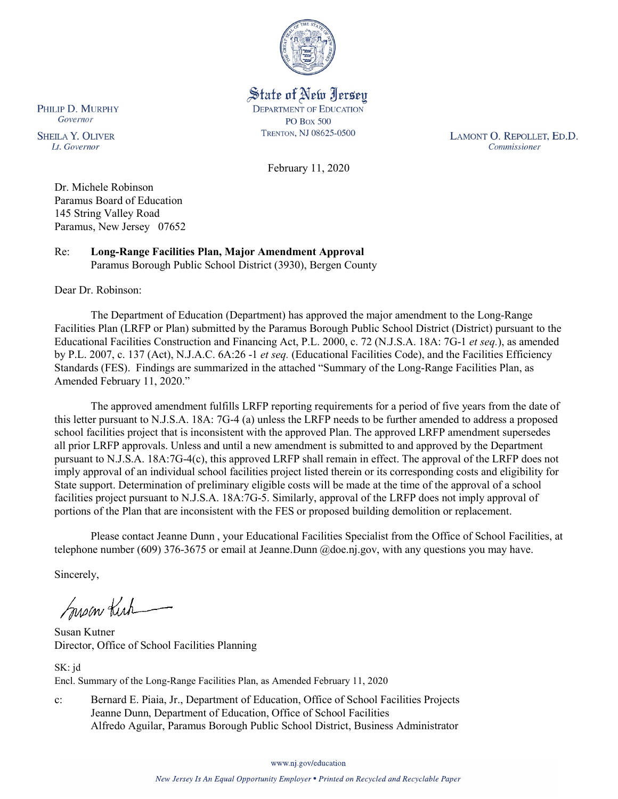

State of New Jersey **DEPARTMENT OF EDUCATION PO Box 500** TRENTON, NJ 08625-0500

LAMONT O. REPOLLET, ED.D. Commissioner

February 11, 2020

Dr. Michele Robinson Paramus Board of Education 145 String Valley Road Paramus, New Jersey 07652

Re: **Long-Range Facilities Plan, Major Amendment Approval** Paramus Borough Public School District (3930), Bergen County

Dear Dr. Robinson:

PHILIP D. MURPHY Governor

**SHEILA Y. OLIVER** 

Lt. Governor

The Department of Education (Department) has approved the major amendment to the Long-Range Facilities Plan (LRFP or Plan) submitted by the Paramus Borough Public School District (District) pursuant to the Educational Facilities Construction and Financing Act, P.L. 2000, c. 72 (N.J.S.A. 18A: 7G-1 *et seq.*), as amended by P.L. 2007, c. 137 (Act), N.J.A.C. 6A:26 -1 *et seq.* (Educational Facilities Code), and the Facilities Efficiency Standards (FES). Findings are summarized in the attached "Summary of the Long-Range Facilities Plan, as Amended February 11, 2020."

The approved amendment fulfills LRFP reporting requirements for a period of five years from the date of this letter pursuant to N.J.S.A. 18A: 7G-4 (a) unless the LRFP needs to be further amended to address a proposed school facilities project that is inconsistent with the approved Plan. The approved LRFP amendment supersedes all prior LRFP approvals. Unless and until a new amendment is submitted to and approved by the Department pursuant to N.J.S.A. 18A:7G-4(c), this approved LRFP shall remain in effect. The approval of the LRFP does not imply approval of an individual school facilities project listed therein or its corresponding costs and eligibility for State support. Determination of preliminary eligible costs will be made at the time of the approval of a school facilities project pursuant to N.J.S.A. 18A:7G-5. Similarly, approval of the LRFP does not imply approval of portions of the Plan that are inconsistent with the FES or proposed building demolition or replacement.

Please contact Jeanne Dunn , your Educational Facilities Specialist from the Office of School Facilities, at telephone number (609) 376-3675 or email at Jeanne.Dunn @doe.nj.gov, with any questions you may have.

Sincerely,

Susan Kich

Susan Kutner Director, Office of School Facilities Planning

SK: jd Encl. Summary of the Long-Range Facilities Plan, as Amended February 11, 2020

c: Bernard E. Piaia, Jr., Department of Education, Office of School Facilities Projects Jeanne Dunn, Department of Education, Office of School Facilities Alfredo Aguilar, Paramus Borough Public School District, Business Administrator

www.nj.gov/education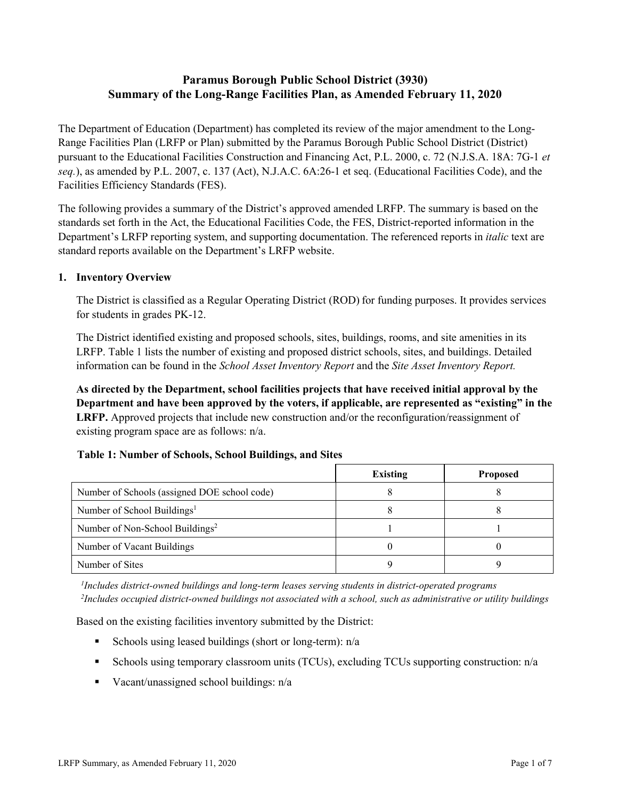# **Paramus Borough Public School District (3930) Summary of the Long-Range Facilities Plan, as Amended February 11, 2020**

The Department of Education (Department) has completed its review of the major amendment to the Long-Range Facilities Plan (LRFP or Plan) submitted by the Paramus Borough Public School District (District) pursuant to the Educational Facilities Construction and Financing Act, P.L. 2000, c. 72 (N.J.S.A. 18A: 7G-1 *et seq.*), as amended by P.L. 2007, c. 137 (Act), N.J.A.C. 6A:26-1 et seq. (Educational Facilities Code), and the Facilities Efficiency Standards (FES).

The following provides a summary of the District's approved amended LRFP. The summary is based on the standards set forth in the Act, the Educational Facilities Code, the FES, District-reported information in the Department's LRFP reporting system, and supporting documentation. The referenced reports in *italic* text are standard reports available on the Department's LRFP website.

#### **1. Inventory Overview**

The District is classified as a Regular Operating District (ROD) for funding purposes. It provides services for students in grades PK-12.

The District identified existing and proposed schools, sites, buildings, rooms, and site amenities in its LRFP. Table 1 lists the number of existing and proposed district schools, sites, and buildings. Detailed information can be found in the *School Asset Inventory Report* and the *Site Asset Inventory Report.*

**As directed by the Department, school facilities projects that have received initial approval by the Department and have been approved by the voters, if applicable, are represented as "existing" in the LRFP.** Approved projects that include new construction and/or the reconfiguration/reassignment of existing program space are as follows: n/a.

# **Table 1: Number of Schools, School Buildings, and Sites**

|                                              | <b>Existing</b> | <b>Proposed</b> |
|----------------------------------------------|-----------------|-----------------|
| Number of Schools (assigned DOE school code) |                 |                 |
| Number of School Buildings <sup>1</sup>      |                 |                 |
| Number of Non-School Buildings <sup>2</sup>  |                 |                 |
| Number of Vacant Buildings                   |                 |                 |
| Number of Sites                              |                 |                 |

*1 Includes district-owned buildings and long-term leases serving students in district-operated programs 2 Includes occupied district-owned buildings not associated with a school, such as administrative or utility buildings*

Based on the existing facilities inventory submitted by the District:

- Schools using leased buildings (short or long-term):  $n/a$
- Schools using temporary classroom units (TCUs), excluding TCUs supporting construction: n/a
- Vacant/unassigned school buildings:  $n/a$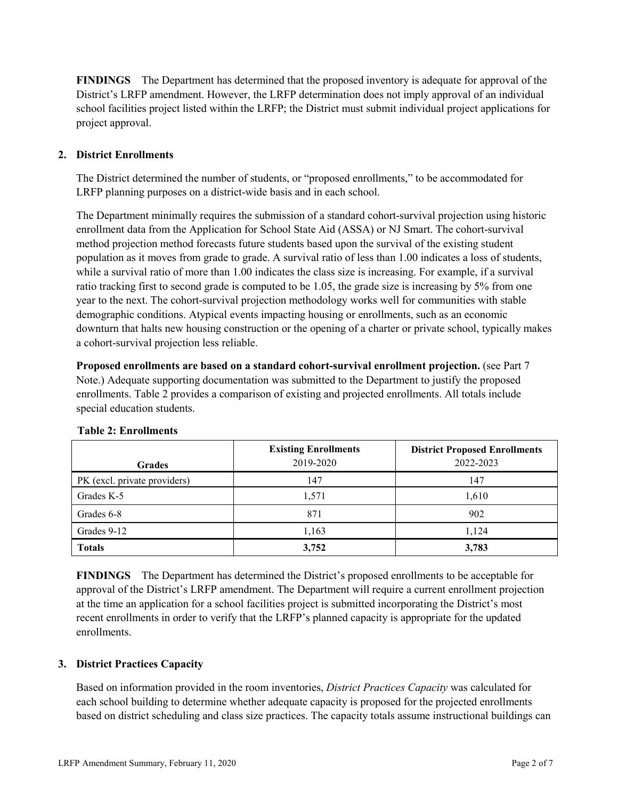**FINDINGS** The Department has determined that the proposed inventory is adequate for approval of the District's LRFP amendment. However, the LRFP determination does not imply approval of an individual school facilities project listed within the LRFP; the District must submit individual project applications for project approval.

# **2. District Enrollments**

The District determined the number of students, or "proposed enrollments," to be accommodated for LRFP planning purposes on a district-wide basis and in each school.

The Department minimally requires the submission of a standard cohort-survival projection using historic enrollment data from the Application for School State Aid (ASSA) or NJ Smart. The cohort-survival method projection method forecasts future students based upon the survival of the existing student population as it moves from grade to grade. A survival ratio of less than 1.00 indicates a loss of students, while a survival ratio of more than 1.00 indicates the class size is increasing. For example, if a survival ratio tracking first to second grade is computed to be 1.05, the grade size is increasing by 5% from one year to the next. The cohort-survival projection methodology works well for communities with stable demographic conditions. Atypical events impacting housing or enrollments, such as an economic downturn that halts new housing construction or the opening of a charter or private school, typically makes a cohort-survival projection less reliable.

**Proposed enrollments are based on a standard cohort-survival enrollment projection.** (see Part 7 Note.) Adequate supporting documentation was submitted to the Department to justify the proposed enrollments. Table 2 provides a comparison of existing and projected enrollments. All totals include special education students.

| <b>Grades</b>                | <b>Existing Enrollments</b><br>2019-2020 | <b>District Proposed Enrollments</b><br>2022-2023 |
|------------------------------|------------------------------------------|---------------------------------------------------|
| PK (excl. private providers) | 147                                      | 147                                               |
| Grades K-5                   | 1,571                                    | 1,610                                             |
| Grades 6-8                   | 871                                      | 902                                               |
| Grades 9-12                  | 1,163                                    | 1.124                                             |
| <b>Totals</b>                | 3,752                                    | 3,783                                             |

# **Table 2: Enrollments**

**FINDINGS** The Department has determined the District's proposed enrollments to be acceptable for approval of the District's LRFP amendment. The Department will require a current enrollment projection at the time an application for a school facilities project is submitted incorporating the District's most recent enrollments in order to verify that the LRFP's planned capacity is appropriate for the updated enrollments.

# **3. District Practices Capacity**

Based on information provided in the room inventories, *District Practices Capacity* was calculated for each school building to determine whether adequate capacity is proposed for the projected enrollments based on district scheduling and class size practices. The capacity totals assume instructional buildings can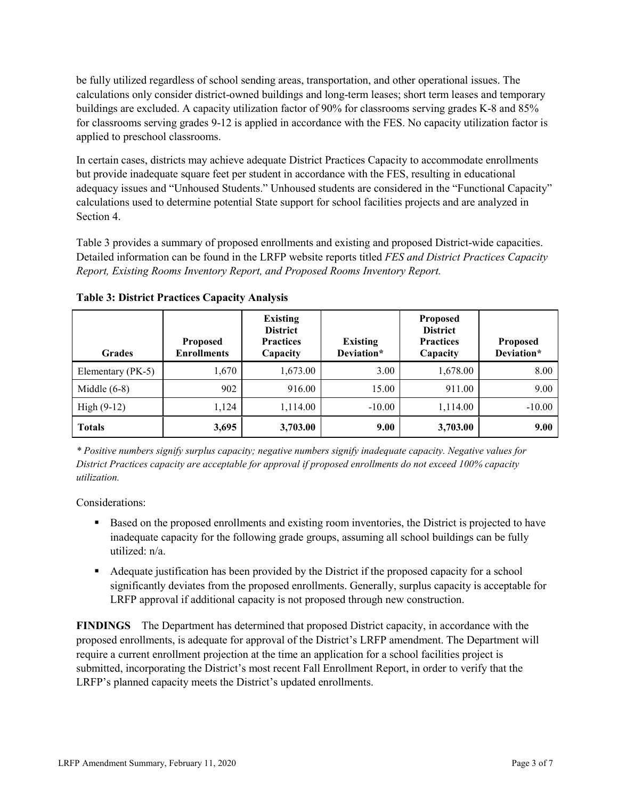be fully utilized regardless of school sending areas, transportation, and other operational issues. The calculations only consider district-owned buildings and long-term leases; short term leases and temporary buildings are excluded. A capacity utilization factor of 90% for classrooms serving grades K-8 and 85% for classrooms serving grades 9-12 is applied in accordance with the FES. No capacity utilization factor is applied to preschool classrooms.

In certain cases, districts may achieve adequate District Practices Capacity to accommodate enrollments but provide inadequate square feet per student in accordance with the FES, resulting in educational adequacy issues and "Unhoused Students." Unhoused students are considered in the "Functional Capacity" calculations used to determine potential State support for school facilities projects and are analyzed in Section 4.

Table 3 provides a summary of proposed enrollments and existing and proposed District-wide capacities. Detailed information can be found in the LRFP website reports titled *FES and District Practices Capacity Report, Existing Rooms Inventory Report, and Proposed Rooms Inventory Report.*

| <b>Grades</b>     | <b>Proposed</b><br><b>Enrollments</b> | <b>Existing</b><br><b>District</b><br><b>Practices</b><br>Capacity | <b>Existing</b><br>Deviation* | <b>Proposed</b><br><b>District</b><br><b>Practices</b><br>Capacity | <b>Proposed</b><br>Deviation* |
|-------------------|---------------------------------------|--------------------------------------------------------------------|-------------------------------|--------------------------------------------------------------------|-------------------------------|
| Elementary (PK-5) | 1,670                                 | 1,673.00                                                           | 3.00                          | 1,678.00                                                           | 8.00                          |
| Middle $(6-8)$    | 902                                   | 916.00                                                             | 15.00                         | 911.00                                                             | 9.00                          |
| High $(9-12)$     | 1,124                                 | 1,114.00                                                           | $-10.00$                      | 1,114.00                                                           | $-10.00$                      |
| <b>Totals</b>     | 3,695                                 | 3,703.00                                                           | 9.00                          | 3,703.00                                                           | 9.00                          |

**Table 3: District Practices Capacity Analysis**

*\* Positive numbers signify surplus capacity; negative numbers signify inadequate capacity. Negative values for District Practices capacity are acceptable for approval if proposed enrollments do not exceed 100% capacity utilization.*

Considerations:

- **Based on the proposed enrollments and existing room inventories, the District is projected to have** inadequate capacity for the following grade groups, assuming all school buildings can be fully utilized: n/a.
- Adequate justification has been provided by the District if the proposed capacity for a school significantly deviates from the proposed enrollments. Generally, surplus capacity is acceptable for LRFP approval if additional capacity is not proposed through new construction.

**FINDINGS**The Department has determined that proposed District capacity, in accordance with the proposed enrollments, is adequate for approval of the District's LRFP amendment. The Department will require a current enrollment projection at the time an application for a school facilities project is submitted, incorporating the District's most recent Fall Enrollment Report, in order to verify that the LRFP's planned capacity meets the District's updated enrollments.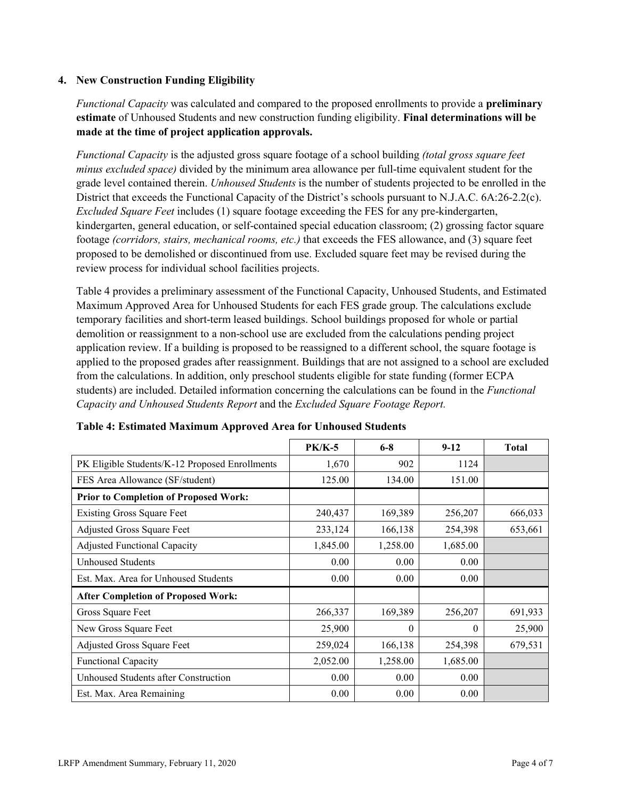#### **4. New Construction Funding Eligibility**

*Functional Capacity* was calculated and compared to the proposed enrollments to provide a **preliminary estimate** of Unhoused Students and new construction funding eligibility. **Final determinations will be made at the time of project application approvals.**

*Functional Capacity* is the adjusted gross square footage of a school building *(total gross square feet minus excluded space)* divided by the minimum area allowance per full-time equivalent student for the grade level contained therein. *Unhoused Students* is the number of students projected to be enrolled in the District that exceeds the Functional Capacity of the District's schools pursuant to N.J.A.C. 6A:26-2.2(c). *Excluded Square Feet* includes (1) square footage exceeding the FES for any pre-kindergarten, kindergarten, general education, or self-contained special education classroom; (2) grossing factor square footage *(corridors, stairs, mechanical rooms, etc.)* that exceeds the FES allowance, and (3) square feet proposed to be demolished or discontinued from use. Excluded square feet may be revised during the review process for individual school facilities projects.

Table 4 provides a preliminary assessment of the Functional Capacity, Unhoused Students, and Estimated Maximum Approved Area for Unhoused Students for each FES grade group. The calculations exclude temporary facilities and short-term leased buildings. School buildings proposed for whole or partial demolition or reassignment to a non-school use are excluded from the calculations pending project application review. If a building is proposed to be reassigned to a different school, the square footage is applied to the proposed grades after reassignment. Buildings that are not assigned to a school are excluded from the calculations. In addition, only preschool students eligible for state funding (former ECPA students) are included. Detailed information concerning the calculations can be found in the *Functional Capacity and Unhoused Students Report* and the *Excluded Square Footage Report.*

|                                                | <b>PK/K-5</b> | $6 - 8$  | $9 - 12$ | <b>Total</b> |
|------------------------------------------------|---------------|----------|----------|--------------|
| PK Eligible Students/K-12 Proposed Enrollments | 1,670         | 902      | 1124     |              |
| FES Area Allowance (SF/student)                | 125.00        | 134.00   | 151.00   |              |
| <b>Prior to Completion of Proposed Work:</b>   |               |          |          |              |
| <b>Existing Gross Square Feet</b>              | 240,437       | 169,389  | 256,207  | 666,033      |
| Adjusted Gross Square Feet                     | 233,124       | 166,138  | 254,398  | 653,661      |
| <b>Adjusted Functional Capacity</b>            | 1,845.00      | 1,258.00 | 1,685.00 |              |
| Unhoused Students                              | 0.00          | 0.00     | 0.00     |              |
| Est. Max. Area for Unhoused Students           | 0.00          | 0.00     | 0.00     |              |
| <b>After Completion of Proposed Work:</b>      |               |          |          |              |
| Gross Square Feet                              | 266,337       | 169,389  | 256,207  | 691,933      |
| New Gross Square Feet                          | 25,900        | $\theta$ | $\theta$ | 25,900       |
| Adjusted Gross Square Feet                     | 259,024       | 166,138  | 254,398  | 679,531      |
| <b>Functional Capacity</b>                     | 2,052.00      | 1,258.00 | 1,685.00 |              |
| Unhoused Students after Construction           | 0.00          | 0.00     | 0.00     |              |
| Est. Max. Area Remaining                       | 0.00          | 0.00     | 0.00     |              |

**Table 4: Estimated Maximum Approved Area for Unhoused Students**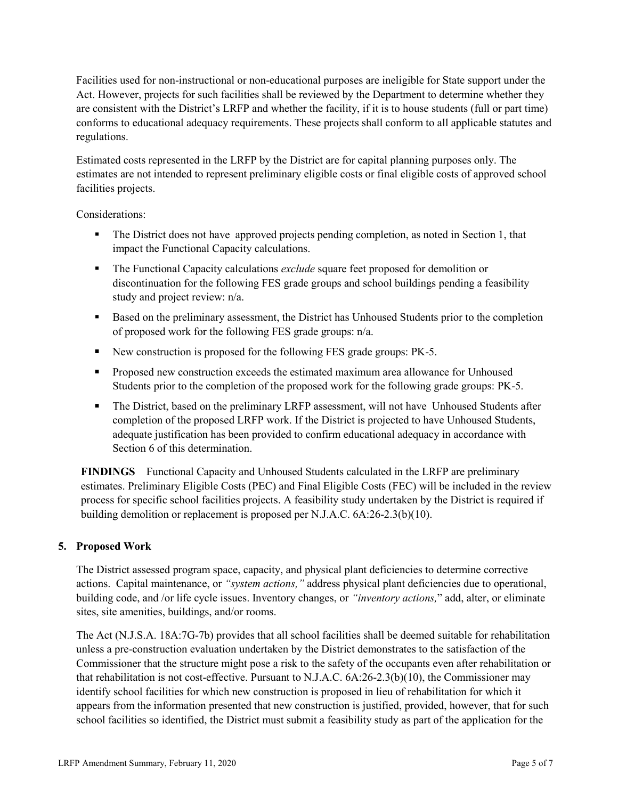Facilities used for non-instructional or non-educational purposes are ineligible for State support under the Act. However, projects for such facilities shall be reviewed by the Department to determine whether they are consistent with the District's LRFP and whether the facility, if it is to house students (full or part time) conforms to educational adequacy requirements. These projects shall conform to all applicable statutes and regulations.

Estimated costs represented in the LRFP by the District are for capital planning purposes only. The estimates are not intended to represent preliminary eligible costs or final eligible costs of approved school facilities projects.

Considerations:

- The District does not have approved projects pending completion, as noted in Section 1, that impact the Functional Capacity calculations.
- The Functional Capacity calculations *exclude* square feet proposed for demolition or discontinuation for the following FES grade groups and school buildings pending a feasibility study and project review: n/a.
- Based on the preliminary assessment, the District has Unhoused Students prior to the completion of proposed work for the following FES grade groups: n/a.
- New construction is proposed for the following FES grade groups: PK-5.
- **Proposed new construction exceeds the estimated maximum area allowance for Unhoused** Students prior to the completion of the proposed work for the following grade groups: PK-5.
- The District, based on the preliminary LRFP assessment, will not have Unhoused Students after completion of the proposed LRFP work. If the District is projected to have Unhoused Students, adequate justification has been provided to confirm educational adequacy in accordance with Section 6 of this determination.

**FINDINGS** Functional Capacity and Unhoused Students calculated in the LRFP are preliminary estimates. Preliminary Eligible Costs (PEC) and Final Eligible Costs (FEC) will be included in the review process for specific school facilities projects. A feasibility study undertaken by the District is required if building demolition or replacement is proposed per N.J.A.C. 6A:26-2.3(b)(10).

# **5. Proposed Work**

The District assessed program space, capacity, and physical plant deficiencies to determine corrective actions. Capital maintenance, or *"system actions,"* address physical plant deficiencies due to operational, building code, and /or life cycle issues. Inventory changes, or *"inventory actions,*" add, alter, or eliminate sites, site amenities, buildings, and/or rooms.

The Act (N.J.S.A. 18A:7G-7b) provides that all school facilities shall be deemed suitable for rehabilitation unless a pre-construction evaluation undertaken by the District demonstrates to the satisfaction of the Commissioner that the structure might pose a risk to the safety of the occupants even after rehabilitation or that rehabilitation is not cost-effective. Pursuant to N.J.A.C. 6A:26-2.3(b)(10), the Commissioner may identify school facilities for which new construction is proposed in lieu of rehabilitation for which it appears from the information presented that new construction is justified, provided, however, that for such school facilities so identified, the District must submit a feasibility study as part of the application for the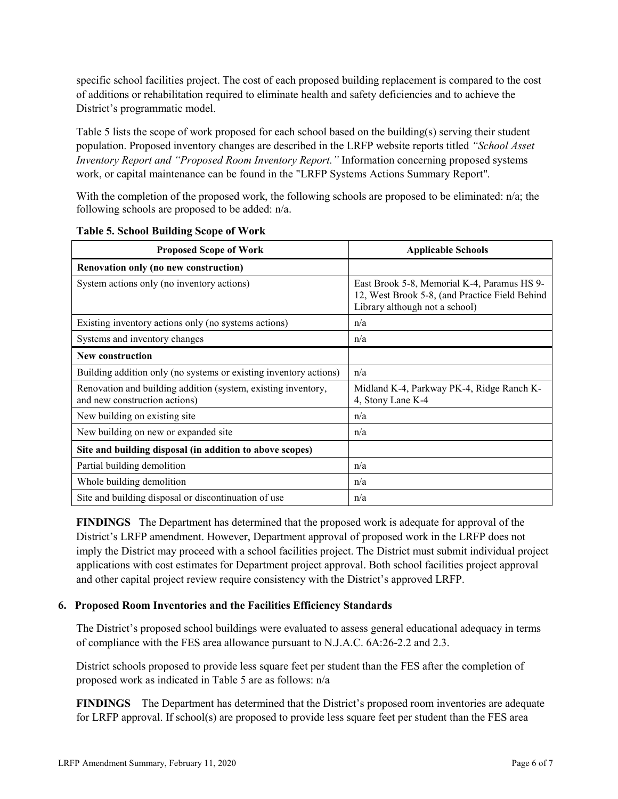specific school facilities project. The cost of each proposed building replacement is compared to the cost of additions or rehabilitation required to eliminate health and safety deficiencies and to achieve the District's programmatic model.

Table 5 lists the scope of work proposed for each school based on the building(s) serving their student population. Proposed inventory changes are described in the LRFP website reports titled *"School Asset Inventory Report and "Proposed Room Inventory Report."* Information concerning proposed systems work, or capital maintenance can be found in the "LRFP Systems Actions Summary Report".

With the completion of the proposed work, the following schools are proposed to be eliminated: n/a; the following schools are proposed to be added: n/a.

| <b>Proposed Scope of Work</b>                                                                  | <b>Applicable Schools</b>                                                                                                       |
|------------------------------------------------------------------------------------------------|---------------------------------------------------------------------------------------------------------------------------------|
| Renovation only (no new construction)                                                          |                                                                                                                                 |
| System actions only (no inventory actions)                                                     | East Brook 5-8, Memorial K-4, Paramus HS 9-<br>12, West Brook 5-8, (and Practice Field Behind<br>Library although not a school) |
| Existing inventory actions only (no systems actions)                                           | n/a                                                                                                                             |
| Systems and inventory changes                                                                  | n/a                                                                                                                             |
| <b>New construction</b>                                                                        |                                                                                                                                 |
| Building addition only (no systems or existing inventory actions)                              | n/a                                                                                                                             |
| Renovation and building addition (system, existing inventory,<br>and new construction actions) | Midland K-4, Parkway PK-4, Ridge Ranch K-<br>4, Stony Lane K-4                                                                  |
| New building on existing site                                                                  | n/a                                                                                                                             |
| New building on new or expanded site                                                           | n/a                                                                                                                             |
| Site and building disposal (in addition to above scopes)                                       |                                                                                                                                 |
| Partial building demolition                                                                    | n/a                                                                                                                             |
| Whole building demolition                                                                      | n/a                                                                                                                             |
| Site and building disposal or discontinuation of use                                           | n/a                                                                                                                             |

|  |  |  | <b>Table 5. School Building Scope of Work</b> |  |  |  |
|--|--|--|-----------------------------------------------|--|--|--|
|--|--|--|-----------------------------------------------|--|--|--|

**FINDINGS** The Department has determined that the proposed work is adequate for approval of the District's LRFP amendment. However, Department approval of proposed work in the LRFP does not imply the District may proceed with a school facilities project. The District must submit individual project applications with cost estimates for Department project approval. Both school facilities project approval and other capital project review require consistency with the District's approved LRFP.

#### **6. Proposed Room Inventories and the Facilities Efficiency Standards**

The District's proposed school buildings were evaluated to assess general educational adequacy in terms of compliance with the FES area allowance pursuant to N.J.A.C. 6A:26-2.2 and 2.3.

District schools proposed to provide less square feet per student than the FES after the completion of proposed work as indicated in Table 5 are as follows: n/a

**FINDINGS** The Department has determined that the District's proposed room inventories are adequate for LRFP approval. If school(s) are proposed to provide less square feet per student than the FES area